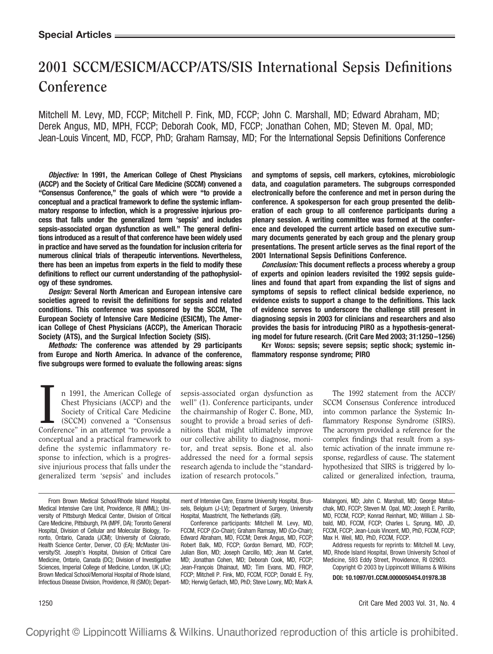# **2001 SCCM/ESICM/ACCP/ATS/SIS International Sepsis Definitions Conference**

Mitchell M. Levy, MD, FCCP; Mitchell P. Fink, MD, FCCP; John C. Marshall, MD; Edward Abraham, MD; Derek Angus, MD, MPH, FCCP; Deborah Cook, MD, FCCP; Jonathan Cohen, MD; Steven M. Opal, MD; Jean-Louis Vincent, MD, FCCP, PhD; Graham Ramsay, MD; For the International Sepsis Definitions Conference

*Objective:* **In 1991, the American College of Chest Physicians (ACCP) and the Society of Critical Care Medicine (SCCM) convened a "Consensus Conference," the goals of which were "to provide a conceptual and a practical framework to define the systemic inflammatory response to infection, which is a progressive injurious process that falls under the generalized term 'sepsis' and includes sepsis-associated organ dysfunction as well." The general definitions introduced as a result of that conference have been widely used in practice and have served as the foundation for inclusion criteria for numerous clinical trials of therapeutic interventions. Nevertheless, there has been an impetus from experts in the field to modify these definitions to reflect our current understanding of the pathophysiology of these syndromes.**

*Design:* **Several North American and European intensive care societies agreed to revisit the definitions for sepsis and related conditions. This conference was sponsored by the SCCM, The European Society of Intensive Care Medicine (ESICM), The American College of Chest Physicians (ACCP), the American Thoracic Society (ATS), and the Surgical Infection Society (SIS).**

*Methods:* **The conference was attended by 29 participants from Europe and North America. In advance of the conference, five subgroups were formed to evaluate the following areas: signs** **and symptoms of sepsis, cell markers, cytokines, microbiologic data, and coagulation parameters. The subgroups corresponded electronically before the conference and met in person during the conference. A spokesperson for each group presented the deliberation of each group to all conference participants during a plenary session. A writing committee was formed at the conference and developed the current article based on executive summary documents generated by each group and the plenary group presentations. The present article serves as the final report of the 2001 International Sepsis Definitions Conference.**

*Conclusion:* **This document reflects a process whereby a group of experts and opinion leaders revisited the 1992 sepsis guidelines and found that apart from expanding the list of signs and symptoms of sepsis to reflect clinical bedside experience, no evidence exists to support a change to the definitions. This lack of evidence serves to underscore the challenge still present in diagnosing sepsis in 2003 for clinicians and researchers and also provides the basis for introducing PIRO as a hypothesis-generating model for future research. (Crit Care Med 2003; 31:1250–1256)**

**KEY WORDS: sepsis; severe sepsis; septic shock; systemic inflammatory response syndrome; PIRO**

n 1991, the American College of<br>Chest Physicians (ACCP) and the<br>Society of Critical Care Medicine<br>(SCCM) convened a "Consensus<br>Conference" in an attempt "to provide a n 1991, the American College of Chest Physicians (ACCP) and the Society of Critical Care Medicine (SCCM) convened a "Consensus conceptual and a practical framework to define the systemic inflammatory response to infection, which is a progressive injurious process that falls under the generalized term 'sepsis' and includes

From Brown Medical School/Rhode Island Hospital, Medical Intensive Care Unit, Providence, RI (MML); University of Pittsburgh Medical Center, Division of Critical Care Medicine, Pittsburgh, PA (MPF, DA); Toronto General Hospital, Division of Cellular and Molecular Biology, Toronto, Ontario, Canada (JCM); University of Colorado, Health Science Center, Denver, CO (EA); McMaster University/St. Joseph's Hospital, Division of Critical Care Medicine, Ontario, Canada (DC); Division of Investigative Sciences, Imperial College of Medicine, London, UK (JC); Brown Medical School/Memorial Hospital of Rhode Island, Infectious Disease Division, Providence, RI (SMO); Depart-

sought to provide a broad series of definitions that might ultimately improve our collective ability to diagnose, monitor, and treat sepsis. Bone et al. also addressed the need for a formal sepsis research agenda to include the "standardization of research protocols."

sepsis-associated organ dysfunction as well" (1). Conference participants, under the chairmanship of Roger C. Bone, MD,

ment of Intensive Care, Erasme University Hospital, Brussels, Belgium (J-LV); Department of Surgery, University Hospital, Maastricht, The Netherlands (GR).

Conference participants: Mitchell M. Levy, MD, FCCM, FCCP (Co-Chair); Graham Ramsay, MD (Co-Chair); Edward Abraham, MD, FCCM; Derek Angus, MD, FCCP; Robert Balk, MD, FCCP; Gordon Bernard, MD, FCCP; Julian Bion, MD; Joseph Carcillo, MD; Jean M. Carlet, MD; Jonathan Cohen, MD; Deborah Cook, MD, FCCP; Jean-François Dhainaut, MD; Tim Evans, MD, FRCP, FCCP; Mitchell P. Fink, MD, FCCM, FCCP; Donald E. Fry, MD; Herwig Gerlach, MD, PhD; Steve Lowry, MD; Mark A.

The 1992 statement from the ACCP/ SCCM Consensus Conference introduced into common parlance the Systemic Inflammatory Response Syndrome (SIRS). The acronym provided a reference for the complex findings that result from a systemic activation of the innate immune response, regardless of cause. The statement hypothesized that SIRS is triggered by localized or generalized infection, trauma,

Malangoni, MD; John C. Marshall, MD; George Matuschak, MD, FCCP; Steven M. Opal, MD; Joseph E. Parrillo, MD, FCCM, FCCP; Konrad Reinhart, MD; William J. Sibbald, MD, FCCM, FCCP; Charles L. Sprung, MD, JD, FCCM, FCCP; Jean-Louis Vincent, MD, PhD, FCCM, FCCP; Max H. Weil, MD, PhD, FCCM, FCCP.

Address requests for reprints to: Mitchell M. Levy, MD, Rhode Island Hospital, Brown University School of Medicine, 593 Eddy Street, Providence, RI 02903. Copyright © 2003 by Lippincott Williams & Wilkins

**DOI: 10.1097/01.CCM.0000050454.01978.3B**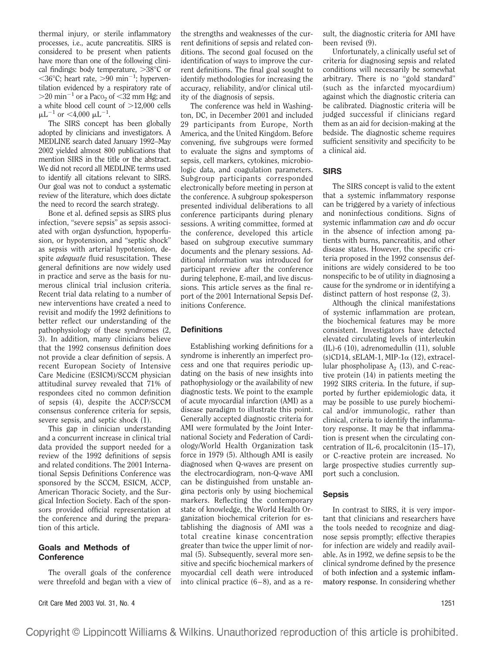thermal injury, or sterile inflammatory processes, i.e., acute pancreatitis. SIRS is considered to be present when patients have more than one of the following clinical findings: body temperature,  $>38^{\circ}$ C or  $<$ 36°C; heart rate, >90 min<sup>-1</sup>; hyperventilation evidenced by a respiratory rate of  $>$ 20 min<sup>-1</sup> or a Paco<sub>2</sub> of <32 mm Hg; and a white blood cell count of  $>12,000$  cells  $\mu L^{-1}$  or  $\lt$ 4,000  $\mu L^{-1}$ .

The SIRS concept has been globally adopted by clinicians and investigators. A MEDLINE search dated January 1992–May 2002 yielded almost 800 publications that mention SIRS in the title or the abstract. We did not record all MEDLINE terms used to identify all citations relevant to SIRS. Our goal was not to conduct a systematic review of the literature, which does dictate the need to record the search strategy.

Bone et al. defined sepsis as SIRS plus infection, "severe sepsis" as sepsis associated with organ dysfunction, hypoperfusion, or hypotension, and "septic shock" as sepsis with arterial hypotension, despite *adequate* fluid resuscitation. These general definitions are now widely used in practice and serve as the basis for numerous clinical trial inclusion criteria. Recent trial data relating to a number of new interventions have created a need to revisit and modify the 1992 definitions to better reflect our understanding of the pathophysiology of these syndromes (2, 3). In addition, many clinicians believe that the 1992 consensus definition does not provide a clear definition of sepsis. A recent European Society of Intensive Care Medicine (ESICM)/SCCM physician attitudinal survey revealed that 71% of respondees cited no common definition of sepsis (4), despite the ACCP/SCCM consensus conference criteria for sepsis, severe sepsis, and septic shock (1).

This gap in clinician understanding and a concurrent increase in clinical trial data provided the support needed for a review of the 1992 definitions of sepsis and related conditions. The 2001 International Sepsis Definitions Conference was sponsored by the SCCM, ESICM, ACCP, American Thoracic Society, and the Surgical Infection Society. Each of the sponsors provided official representation at the conference and during the preparation of this article.

## **Goals and Methods of Conference**

The overall goals of the conference were threefold and began with a view of

the strengths and weaknesses of the current definitions of sepsis and related conditions. The second goal focused on the identification of ways to improve the current definitions. The final goal sought to identify methodologies for increasing the accuracy, reliability, and/or clinical utility of the diagnosis of sepsis.

The conference was held in Washington, DC, in December 2001 and included 29 participants from Europe, North America, and the United Kingdom. Before convening, five subgroups were formed to evaluate the signs and symptoms of sepsis, cell markers, cytokines, microbiologic data, and coagulation parameters. Subgroup participants corresponded electronically before meeting in person at the conference. A subgroup spokesperson presented individual deliberations to all conference participants during plenary sessions. A writing committee, formed at the conference, developed this article based on subgroup executive summary documents and the plenary sessions. Additional information was introduced for participant review after the conference during telephone, E-mail, and live discussions. This article serves as the final report of the 2001 International Sepsis Definitions Conference.

#### **Definitions**

Establishing working definitions for a syndrome is inherently an imperfect process and one that requires periodic updating on the basis of new insights into pathophysiology or the availability of new diagnostic tests. We point to the example of acute myocardial infarction (AMI) as a disease paradigm to illustrate this point. Generally accepted diagnostic criteria for AMI were formulated by the Joint International Society and Federation of Cardiology/World Health Organization task force in 1979 (5). Although AMI is easily diagnosed when Q-waves are present on the electrocardiogram, non-Q-wave AMI can be distinguished from unstable angina pectoris only by using biochemical markers. Reflecting the contemporary state of knowledge, the World Health Organization biochemical criterion for establishing the diagnosis of AMI was a total creatine kinase concentration greater than twice the upper limit of normal (5). Subsequently, several more sensitive and specific biochemical markers of myocardial cell death were introduced into clinical practice (6–8), and as a result, the diagnostic criteria for AMI have been revised (9).

Unfortunately, a clinically useful set of criteria for diagnosing sepsis and related conditions will necessarily be somewhat arbitrary. There is no "gold standard" (such as the infarcted myocardium) against which the diagnostic criteria can be calibrated. Diagnostic criteria will be judged successful if clinicians regard them as an aid for decision-making at the bedside. The diagnostic scheme requires sufficient sensitivity and specificity to be a clinical aid.

### **SIRS**

The SIRS concept is valid to the extent that a systemic inflammatory response can be triggered by a variety of infectious and noninfectious conditions. Signs of systemic inflammation *can* and *do* occur in the absence of infection among patients with burns, pancreatitis, and other disease states. However, the specific criteria proposed in the 1992 consensus definitions are widely considered to be too nonspecific to be of utility in diagnosing a cause for the syndrome or in identifying a distinct pattern of host response (2, 3).

Although the clinical manifestations of systemic inflammation are protean, the biochemical features may be more consistent. Investigators have detected elevated circulating levels of interleukin (IL)-6 (10), adrenomedullin (11), soluble (s)CD14, sELAM-1, MIP-1 $\alpha$  (12), extracellular phospholipase  $A_2$  (13), and C-reactive protein (14) in patients meeting the 1992 SIRS criteria. In the future, if supported by further epidemiologic data, it may be possible to use purely biochemical and/or immunologic, rather than clinical, criteria to identify the inflammatory response. It may be that inflammation is present when the circulating concentration of IL-6, procalcitonin (15–17), or C-reactive protein are increased. No large prospective studies currently support such a conclusion.

# **Sepsis**

In contrast to SIRS, it is very important that clinicians and researchers have the tools needed to recognize and diagnose sepsis promptly; effective therapies for infection are widely and readily available. As in 1992, we define sepsis to be the clinical syndrome defined by the presence of both **infection** and a **systemic inflammatory response**. In considering whether

Crit Care Med 2003 Vol. 31, No. 4 1251

Copyright © Lippincott Williams & Wilkins. Unauthorized reproduction of this article is prohibited.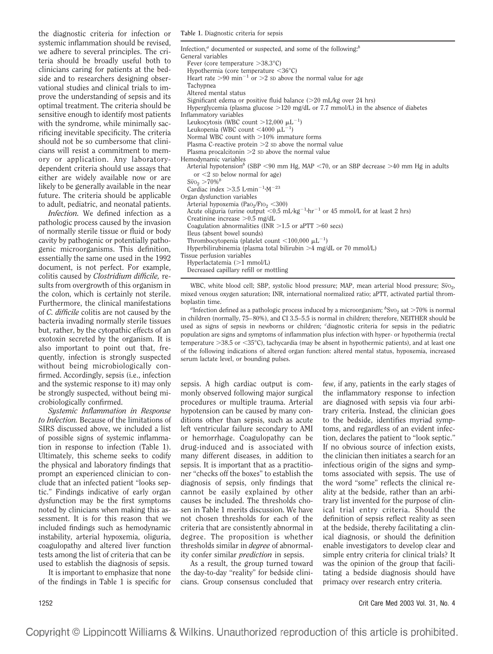the diagnostic criteria for infection or systemic inflammation should be revised, we adhere to several principles. The criteria should be broadly useful both to clinicians caring for patients at the bedside and to researchers designing observational studies and clinical trials to improve the understanding of sepsis and its optimal treatment. The criteria should be sensitive enough to identify most patients with the syndrome, while minimally sacrificing inevitable specificity. The criteria should not be so cumbersome that clinicians will resist a commitment to memory or application. Any laboratorydependent criteria should use assays that either are widely available now or are likely to be generally available in the near future. The criteria should be applicable to adult, pediatric, and neonatal patients.

*Infection.* We defined infection as a pathologic process caused by the invasion of normally sterile tissue or fluid or body cavity by pathogenic or potentially pathogenic microorganisms. This definition, essentially the same one used in the 1992 document, is not perfect. For example, colitis caused by *Clostridium difficile,* results from overgrowth of this organism in the colon, which is certainly not sterile. Furthermore, the clinical manifestations of *C. difficile* colitis are not caused by the bacteria invading normally sterile tissues but, rather, by the cytopathic effects of an exotoxin secreted by the organism. It is also important to point out that, frequently, infection is strongly suspected without being microbiologically confirmed. Accordingly, sepsis (i.e., infection and the systemic response to it) may only be strongly suspected, without being microbiologically confirmed.

*Systemic Inflammation in Response to Infection.* Because of the limitations of SIRS discussed above, we included a list of possible signs of systemic inflammation in response to infection (Table 1). Ultimately, this scheme seeks to codify the physical and laboratory findings that prompt an experienced clinician to conclude that an infected patient "looks septic." Findings indicative of early organ dysfunction may be the first symptoms noted by clinicians when making this assessment. It is for this reason that we included findings such as hemodynamic instability, arterial hypoxemia, oliguria, coagulopathy and altered liver function tests among the list of criteria that can be used to establish the diagnosis of sepsis.

It is important to emphasize that none of the findings in Table 1 is specific for **Table 1.** Diagnostic criteria for sepsis

Infection,<sup>*a*</sup> documented or suspected, and some of the following:<sup>*b*</sup> General variables Fever (core temperature  $>38.3^{\circ}$ C) Hypothermia (core temperature  $\langle 36^{\circ}$ C) Heart rate  $>90$  min<sup>-1</sup> or  $>2$  sp above the normal value for age **Tachypnea** Altered mental status Significant edema or positive fluid balance  $(>20 \text{ mL/kg}$  over 24 hrs) Hyperglycemia (plasma glucose  $>120$  mg/dL or 7.7 mmol/L) in the absence of diabetes Inflammatory variables Leukocytosis (WBC count  $>12,000 \mu L^{-1}$ ) Leukopenia (WBC count <4000  $\mu L^{-1}$ ) Normal WBC count with  $>10\%$  immature forms Plasma C-reactive protein  $>2$  sp above the normal value Plasma procalcitonin  $>2$  sp above the normal value Hemodynamic variables Arterial hypotension<sup>b</sup> (SBP <90 mm Hg, MAP <70, or an SBP decrease >40 mm Hg in adults or -2 SD below normal for age)  $S\bar{v}o_2 > 70\%$ <sup>b</sup> Cardiac index  $>3.5$  L·min<sup>-1</sup>·M<sup>-23</sup> Organ dysfunction variables Arterial hypoxemia ( $PaO<sub>2</sub>/FIO<sub>2</sub> < 300$ ) Acute oliguria (urine output < 0.5 mL·kg<sup>-1</sup>·hr<sup>-1</sup> or 45 mmol/L for at least 2 hrs) Creatinine increase  $> 0.5$  mg/dL Coagulation abnormalities (INR  $>1.5$  or aPTT  $>60$  secs) Ileus (absent bowel sounds) Thrombocytopenia (platelet count  $\langle 100,000 \rangle \mu L^{-1}$ ) Hyperbilirubinemia (plasma total bilirubin  $>4$  mg/dL or 70 mmol/L) Tissue perfusion variables Hyperlactatemia  $(>1$  mmol/L) Decreased capillary refill or mottling

WBC, white blood cell; SBP, systolic blood pressure; MAP, mean arterial blood pressure;  $S\bar{v}_{2}$ , mixed venous oxygen saturation; INR, international normalized ratio; aPTT, activated partial thromboplastin time.

 $a$ Infection defined as a pathologic process induced by a microorganism;  $b$ Sv $o_2$  sat  $>70\%$  is normal in children (normally, 75–80%), and CI 3.5–5.5 is normal in children; therefore, NEITHER should be used as signs of sepsis in newborns or children; *<sup>c</sup>* diagnostic criteria for sepsis in the pediatric population are signs and symptoms of inflammation plus infection with hyper- or hypothermia (rectal temperature 38.5 or -35°C), tachycardia (may be absent in hypothermic patients), and at least one of the following indications of altered organ function: altered mental status, hypoxemia, increased serum lactate level, or bounding pulses.

sepsis. A high cardiac output is commonly observed following major surgical procedures or multiple trauma. Arterial hypotension can be caused by many conditions other than sepsis, such as acute left ventricular failure secondary to AMI or hemorrhage. Coagulopathy can be drug-induced and is associated with many different diseases, in addition to sepsis. It is important that as a practitioner "checks off the boxes" to establish the diagnosis of sepsis, only findings that cannot be easily explained by other causes be included. The thresholds chosen in Table 1 merits discussion. We have not chosen thresholds for each of the criteria that are consistently abnormal in degree. The proposition is whether thresholds similar in *degree* of abnormality confer similar *prediction* in sepsis.

As a result, the group turned toward the day-to-day "reality" for bedside clinicians. Group consensus concluded that

few, if any, patients in the early stages of the inflammatory response to infection are diagnosed with sepsis via four arbitrary criteria. Instead, the clinician goes to the bedside, identifies myriad symptoms, and regardless of an evident infection, declares the patient to "look septic." If no obvious source of infection exists, the clinician then initiates a search for an infectious origin of the signs and symptoms associated with sepsis. The use of the word "some" reflects the clinical reality at the bedside, rather than an arbitrary list invented for the purpose of clinical trial entry criteria. Should the definition of sepsis reflect reality as seen at the bedside, thereby facilitating a clinical diagnosis, or should the definition enable investigators to develop clear and simple entry criteria for clinical trials? It was the opinion of the group that facilitating a bedside diagnosis should have primacy over research entry criteria.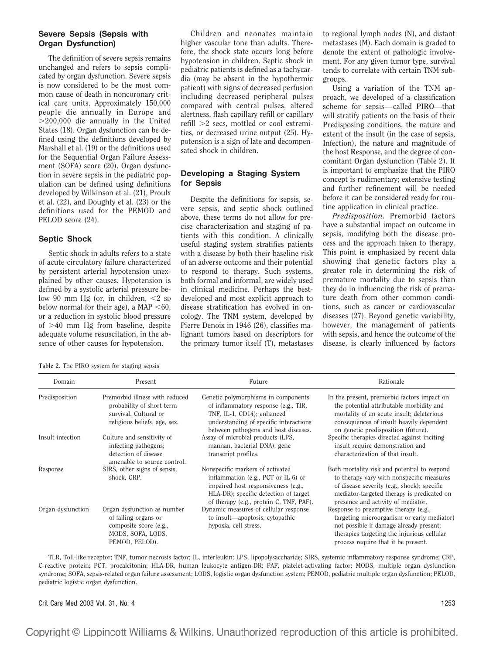#### **Severe Sepsis (Sepsis with Organ Dysfunction)**

The definition of severe sepsis remains unchanged and refers to sepsis complicated by organ dysfunction. Severe sepsis is now considered to be the most common cause of death in noncoronary critical care units. Approximately 150,000 people die annually in Europe and  $>$ 200,000 die annually in the United States (18). Organ dysfunction can be defined using the definitions developed by Marshall et al. (19) or the definitions used for the Sequential Organ Failure Assessment (SOFA) score (20). Organ dysfunction in severe sepsis in the pediatric population can be defined using definitions developed by Wilkinson et al. (21), Proulx et al. (22), and Doughty et al. (23) or the definitions used for the PEMOD and PELOD score (24).

#### **Septic Shock**

Septic shock in adults refers to a state of acute circulatory failure characterized by persistent arterial hypotension unexplained by other causes. Hypotension is defined by a systolic arterial pressure below 90 mm Hg (or, in children,  $\leq$ 2 sp below normal for their age), a MAP  $<\!\!60,$ or a reduction in systolic blood pressure of  $>40$  mm Hg from baseline, despite adequate volume resuscitation, in the absence of other causes for hypotension.

**Table 2.** The PIRO system for staging sepsis

Children and neonates maintain higher vascular tone than adults. Therefore, the shock state occurs long before hypotension in children. Septic shock in pediatric patients is defined as a tachycardia (may be absent in the hypothermic patient) with signs of decreased perfusion including decreased peripheral pulses compared with central pulses, altered alertness, flash capillary refill or capillary refill  $>2$  secs, mottled or cool extremities, or decreased urine output (25). Hypotension is a sign of late and decompensated shock in children.

#### **Developing a Staging System for Sepsis**

Despite the definitions for sepsis, severe sepsis, and septic shock outlined above, these terms do not allow for precise characterization and staging of patients with this condition. A clinically useful staging system stratifies patients with a disease by both their baseline risk of an adverse outcome and their potential to respond to therapy. Such systems, both formal and informal, are widely used in clinical medicine. Perhaps the bestdeveloped and most explicit approach to disease stratification has evolved in oncology. The TNM system, developed by Pierre Denoix in 1946 (26), classifies malignant tumors based on descriptors for the primary tumor itself (T), metastases

to regional lymph nodes (N), and distant metastases (M). Each domain is graded to denote the extent of pathologic involvement. For any given tumor type, survival tends to correlate with certain TNM subgroups.

Using a variation of the TNM approach, we developed of a classification scheme for sepsis—called **PIRO**—that will stratify patients on the basis of their **P**redisposing conditions, the nature and extent of the insult (in the case of sepsis, **I**nfection), the nature and magnitude of the host **R**esponse, and the degree of concomitant **O**rgan dysfunction (Table 2). It is important to emphasize that the PIRO concept is rudimentary; extensive testing and further refinement will be needed before it can be considered ready for routine application in clinical practice.

*Predisposition.* Premorbid factors have a substantial impact on outcome in sepsis, modifying both the disease process and the approach taken to therapy. This point is emphasized by recent data showing that genetic factors play a greater role in determining the risk of premature mortality due to sepsis than they do in influencing the risk of premature death from other common conditions, such as cancer or cardiovascular diseases (27). Beyond genetic variability, however, the management of patients with sepsis, and hence the outcome of the disease, is clearly influenced by factors

| Domain            | Present                                                                                                              | Future                                                                                                                                                                                             | Rationale                                                                                                                                                                                                                    |
|-------------------|----------------------------------------------------------------------------------------------------------------------|----------------------------------------------------------------------------------------------------------------------------------------------------------------------------------------------------|------------------------------------------------------------------------------------------------------------------------------------------------------------------------------------------------------------------------------|
| Predisposition    | Premorbid illness with reduced<br>probability of short term<br>survival. Cultural or<br>religious beliefs, age, sex. | Genetic polymorphisms in components<br>of inflammatory response (e.g., TIR,<br>TNF, IL-1, CD14); enhanced<br>understanding of specific interactions<br>between pathogens and host diseases.        | In the present, premorbid factors impact on<br>the potential attributable morbidity and<br>mortality of an acute insult; deleterious<br>consequences of insult heavily dependent<br>on genetic predisposition (future).      |
| Insult infection  | Culture and sensitivity of<br>infecting pathogens;<br>detection of disease<br>amenable to source control.            | Assay of microbial products (LPS,<br>mannan, bacterial DNA); gene<br>transcript profiles.                                                                                                          | Specific therapies directed against inciting<br>insult require demonstration and<br>characterization of that insult.                                                                                                         |
| Response          | SIRS, other signs of sepsis,<br>shock, CRP.                                                                          | Nonspecific markers of activated<br>inflammation (e.g., PCT or IL-6) or<br>impaired host responsiveness (e.g.,<br>HLA-DR); specific detection of target<br>of therapy (e.g., protein C, TNF, PAF). | Both mortality risk and potential to respond<br>to therapy vary with nonspecific measures<br>of disease severity (e.g., shock); specific<br>mediator-targeted therapy is predicated on<br>presence and activity of mediator. |
| Organ dysfunction | Organ dysfunction as number<br>of failing organs or<br>composite score (e.g.,<br>MODS, SOFA, LODS,<br>PEMOD, PELOD). | Dynamic measures of cellular response<br>to insult—apoptosis, cytopathic<br>hypoxia, cell stress.                                                                                                  | Response to preemptive therapy (e.g.,<br>targeting microorganism or early mediator)<br>not possible if damage already present;<br>therapies targeting the injurious cellular<br>process require that it be present.          |

TLR, Toll-like receptor; TNF, tumor necrosis factor; IL, interleukin; LPS, lipopolysaccharide; SIRS, systemic inflammatory response syndrome; CRP, C-reactive protein; PCT, procalcitonin; HLA-DR, human leukocyte antigen-DR; PAF, platelet-activating factor; MODS, multiple organ dysfunction syndrome; SOFA, sepsis-related organ failure assessment; LODS, logistic organ dysfunction system; PEMOD, pediatric multiple organ dysfunction; PELOD, pediatric logistic organ dysfunction.

Crit Care Med 2003 Vol. 31, No. 4 1253

Copyright © Lippincott Williams & Wilkins. Unauthorized reproduction of this article is prohibited.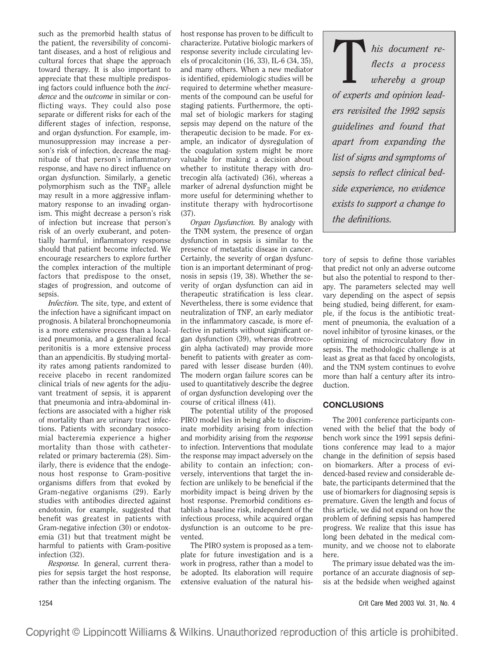such as the premorbid health status of the patient, the reversibility of concomitant diseases, and a host of religious and cultural forces that shape the approach toward therapy. It is also important to appreciate that these multiple predisposing factors could influence both the *incidence* and the *outcome* in similar or conflicting ways. They could also pose separate or different risks for each of the different stages of infection, response, and organ dysfunction. For example, immunosuppression may increase a person's risk of infection, decrease the magnitude of that person's inflammatory response, and have no direct influence on organ dysfunction. Similarly, a genetic polymorphism such as the TNF<sub>2</sub> allele may result in a more aggressive inflammatory response to an invading organism. This might decrease a person's risk of infection but increase that person's risk of an overly exuberant, and potentially harmful, inflammatory response should that patient become infected. We encourage researchers to explore further the complex interaction of the multiple factors that predispose to the onset, stages of progression, and outcome of sepsis.

*Infection.* The site, type, and extent of the infection have a significant impact on prognosis. A bilateral bronchopneumonia is a more extensive process than a localized pneumonia, and a generalized fecal peritonitis is a more extensive process than an appendicitis. By studying mortality rates among patients randomized to receive placebo in recent randomized clinical trials of new agents for the adjuvant treatment of sepsis, it is apparent that pneumonia and intra-abdominal infections are associated with a higher risk of mortality than are urinary tract infections. Patients with secondary nosocomial bacteremia experience a higher mortality than those with catheterrelated or primary bacteremia (28). Similarly, there is evidence that the endogenous host response to Gram-positive organisms differs from that evoked by Gram-negative organisms (29). Early studies with antibodies directed against endotoxin, for example, suggested that benefit was greatest in patients with Gram-negative infection (30) or endotoxemia (31) but that treatment might be harmful to patients with Gram-positive infection (32).

*Response.* In general, current therapies for sepsis target the host response, rather than the infecting organism. The host response has proven to be difficult to characterize. Putative biologic markers of response severity include circulating levels of procalcitonin (16, 33), IL-6 (34, 35), and many others. When a new mediator is identified, epidemiologic studies will be required to determine whether measurements of the compound can be useful for staging patients. Furthermore, the optimal set of biologic markers for staging sepsis may depend on the nature of the therapeutic decision to be made. For example, an indicator of dysregulation of the coagulation system might be more valuable for making a decision about whether to institute therapy with drotrecogin alfa (activated) (36), whereas a marker of adrenal dysfunction might be more useful for determining whether to institute therapy with hydrocortisone (37).

*Organ Dysfunction.* By analogy with the TNM system, the presence of organ dysfunction in sepsis is similar to the presence of metastatic disease in cancer. Certainly, the severity of organ dysfunction is an important determinant of prognosis in sepsis (19, 38). Whether the severity of organ dysfunction can aid in therapeutic stratification is less clear. Nevertheless, there is some evidence that neutralization of TNF, an early mediator in the inflammatory cascade, is more effective in patients without significant organ dysfunction (39), whereas drotrecogin alpha (activated) may provide more benefit to patients with greater as compared with lesser disease burden (40). The modern organ failure scores can be used to quantitatively describe the degree of organ dysfunction developing over the course of critical illness (41).

The potential utility of the proposed PIRO model lies in being able to discriminate morbidity arising from infection and morbidity arising from the *response* to infection. Interventions that modulate the response may impact adversely on the ability to contain an infection; conversely, interventions that target the infection are unlikely to be beneficial if the morbidity impact is being driven by the host response. Premorbid conditions establish a baseline risk, independent of the infectious process, while acquired organ dysfunction is an outcome to be prevented.

The PIRO system is proposed as a template for future investigation and is a work in progress, rather than a model to be adopted. Its elaboration will require extensive evaluation of the natural his-

*his document re-*<br> *hects a process*<br> *whereby a group flects a process whereby a group of experts and opinion leaders revisited the 1992 sepsis guidelines and found that apart from expanding the list of signs and symptoms of sepsis to reflect clinical bedside experience, no evidence exists to support a change to the definitions.*

tory of sepsis to define those variables that predict not only an adverse outcome but also the potential to respond to therapy. The parameters selected may well vary depending on the aspect of sepsis being studied, being different, for example, if the focus is the antibiotic treatment of pneumonia, the evaluation of a novel inhibitor of tyrosine kinases, or the optimizing of microcirculatory flow in sepsis. The methodologic challenge is at least as great as that faced by oncologists, and the TNM system continues to evolve more than half a century after its introduction.

#### **CONCLUSIONS**

The 2001 conference participants convened with the belief that the body of bench work since the 1991 sepsis definitions conference may lead to a major change in the definition of sepsis based on biomarkers. After a process of evidenced-based review and considerable debate, the participants determined that the use of biomarkers for diagnosing sepsis is premature. Given the length and focus of this article, we did not expand on how the problem of defining sepsis has hampered progress. We realize that this issue has long been debated in the medical community, and we choose not to elaborate here.

The primary issue debated was the importance of an accurate diagnosis of sepsis at the bedside when weighed against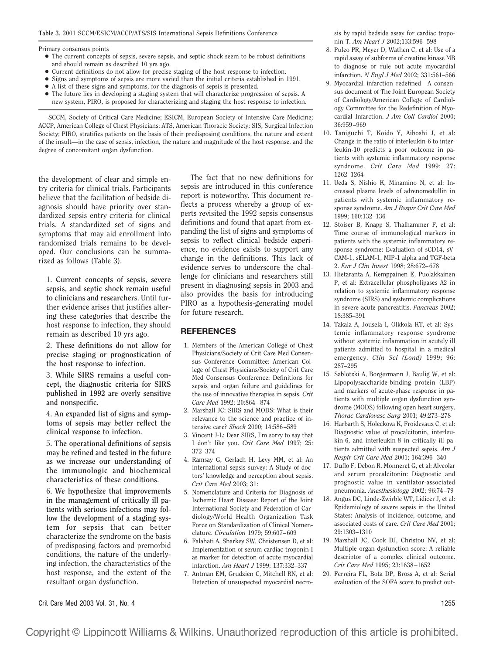Primary consensus points

- The current concepts of sepsis, severe sepsis, and septic shock seem to be robust definitions and should remain as described 10 yrs ago.
- Current definitions do not allow for precise staging of the host response to infection.
- Signs and symptoms of sepsis are more varied than the initial criteria established in 1991.
- A list of these signs and symptoms, for the diagnosis of sepsis is presented.
- The future lies in developing a staging system that will characterize progression of sepsis. A new system, PIRO, is proposed for characterizing and staging the host response to infection.

SCCM, Society of Critical Care Medicine; ESICM, European Society of Intensive Care Medicine; ACCP, American College of Chest Physicians; ATS, American Thoracic Society; SIS, Surgical Infection Society; PIRO, stratifies patients on the basis of their predisposing conditions, the nature and extent of the insult—in the case of sepsis, infection, the nature and magnitude of the host response, and the degree of concomitant organ dysfunction.

the development of clear and simple entry criteria for clinical trials. Participants believe that the facilitation of bedside diagnosis should have priority over standardized sepsis entry criteria for clinical trials. A standardized set of signs and symptoms that may aid enrollment into randomized trials remains to be developed. Our conclusions can be summarized as follows (Table 3).

1. **Current concepts of sepsis, severe sepsis, and septic shock remain useful to clinicians and researchers**. Until further evidence arises that justifies altering these categories that describe the host response to infection, they should remain as described 10 yrs ago.

2. **These definitions do not allow for precise staging or prognostication of the host response to infection**.

3. **While SIRS remains a useful concept, the diagnostic criteria for SIRS published in 1992 are overly sensitive and nonspecific**.

4. **An expanded list of signs and symptoms of sepsis may better reflect the clinical response to infection**.

5. **The operational definitions of sepsis may be refined and tested in the future as we increase our understanding of the immunologic and biochemical characteristics of these conditions**.

6. **We hypothesize that improvements in the management of critically ill patients with serious infections may follow the development of a staging system for sepsis** that can better characterize the syndrome on the basis of predisposing factors and premorbid conditions, the nature of the underlying infection, the characteristics of the host response, and the extent of the resultant organ dysfunction.

The fact that no new definitions for sepsis are introduced in this conference report is noteworthy. This document reflects a process whereby a group of experts revisited the 1992 sepsis consensus definitions and found that apart from expanding the list of signs and symptoms of sepsis to reflect clinical bedside experience, no evidence exists to support any change in the definitions. This lack of evidence serves to underscore the challenge for clinicians and researchers still present in diagnosing sepsis in 2003 and also provides the basis for introducing PIRO as a hypothesis-generating model for future research.

#### **REFERENCES**

- 1. Members of the American College of Chest Physicians/Society of Crit Care Med Consensus Conference Committee: American College of Chest Physicians/Society of Crit Care Med Consensus Conference: Definitions for sepsis and organ failure and guidelines for the use of innovative therapies in sepsis. *Crit Care Med* 1992; 20:864–874
- 2. Marshall JC: SIRS and MODS: What is their relevance to the science and practice of intensive care? *Shock* 2000; 14:586–589
- 3. Vincent J-L: Dear SIRS, I'm sorry to say that I don't like you. *Crit Care Med* 1997; 25: 372–374
- 4. Ramsay G, Gerlach H, Levy MM, et al: An international sepsis survey: A Study of doctors' knowledge and perception about sepsis. *Crit Care Med* 2003; 31:
- 5. Nomenclature and Criteria for Diagnosis of Ischemic Heart Disease: Report of the Joint International Society and Federation of Cardiology/World Health Organization Task Force on Standardization of Clinical Nomenclature. *Circulation* 1979; 59:607–609
- 6. Falahati A, Sharkey SW, Christensen D, et al: Implementation of serum cardiac troponin I as marker for detection of acute myocardial infarction. *Am Heart J* 1999; 137:332–337
- 7. Antman EM, Grudzien C, Mitchell RN, et al: Detection of unsuspected myocardial necro-

sis by rapid bedside assay for cardiac troponin T. *Am Heart J* 2002;133:596–598

- 8. Puleo PR, Meyer D, Wathen C, et al: Use of a rapid assay of subforms of creatine kinase MB to diagnose or rule out acute myocardial infarction. *N Engl J Med* 2002; 331:561–566
- 9. Myocardial infarction redefined—A consensus document of The Joint European Society of Cardiology/American College of Cardiology Committee for the Redefinition of Myocardial Infarction. *J Am Coll Cardiol* 2000; 36:959–969
- 10. Taniguchi T, Koido Y, Aiboshi J, et al: Change in the ratio of interleukin-6 to interleukin-10 predicts a poor outcome in patients with systemic inflammatory response syndrome. *Crit Care Med* 1999; 27: 1262–1264
- 11. Ueda S, Nishio K, Minamino N, et al: Increased plasma levels of adrenomedullin in patients with systemic inflammatory response syndrome. *Am J Respir Crit Care Med* 1999; 160:132–136
- 12. Stoiser B, Knapp S, Thalhammer F, et al: Time course of immunological markers in patients with the systemic inflammatory response syndrome: Evaluation of sCD14, sV-CAM-1, sELAM-1, MIP-1 alpha and TGF-beta 2. *Eur J Clin Invest* 1998; 28:672–678
- 13. Hietaranta A, Kemppainen E, Puolakkainen P, et al: Extracellular phospholipases A2 in relation to systemic inflammatory response syndrome (SIRS) and systemic complications in severe acute pancreatitis. *Pancreas* 2002; 18:385–391
- 14. Takala A, Jousela I, Olkkola KT, et al: Systemic inflammatory response syndrome without systemic inflammation in acutely ill patients admitted to hospital in a medical emergency. *Clin Sci (Lond)* 1999; 96: 287–295
- 15. Sablotzki A, Borgermann J, Baulig W, et al: Lipopolysaccharide-binding protein (LBP) and markers of acute-phase response in patients with multiple organ dysfunction syndrome (MODS) following open heart surgery. *Thorac Cardiovasc Surg* 2001; 49:273–278
- 16. Harbarth S, Holeckova K, Froidevaux C, et al: Diagnostic value of procalcitonin, interleukin-6, and interleukin-8 in critically ill patients admitted with suspected sepsis. *Am J Respir Crit Care Med* 2001; 164:396–340
- 17. Duflo F, Debon R, Monneret G, et al: Alveolar and serum procalcitonin: Diagnostic and prognostic value in ventilator-associated pneumonia. *Anesthesiology* 2002; 96:74–79
- 18. Angus DC, Linde-Zwirble WT, Lidicer J, et al: Epidemiology of severe sepsis in the United States: Analysis of incidence, outcome, and associated costs of care. *Crit Care Med* 2001; 29:1303–1310
- 19. Marshall JC, Cook DJ, Christou NV, et al: Multiple organ dysfunction score: A reliable descriptor of a complex clinical outcome. *Crit Care Med* 1995; 23:1638–1652
- 20. Ferreira FL, Bota DP, Bross A, et al: Serial evaluation of the SOFA score to predict out-

Crit Care Med 2003 Vol. 31, No. 4 1255